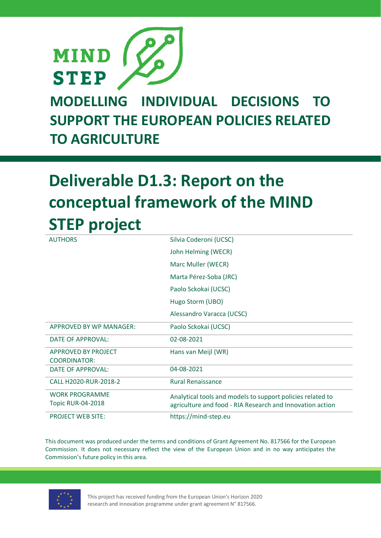

**MODELLING INDIVIDUAL DECISIONS TO SUPPORT THE EUROPEAN POLICIES RELATED TO AGRICULTURE**

# **Deliverable D1.3: Report on the conceptual framework of the MIND STEP project**

| <b>AUTHORS</b>                 | Silvia Coderoni (UCSC)                                     |
|--------------------------------|------------------------------------------------------------|
|                                | John Helming (WECR)                                        |
|                                | Marc Muller (WECR)                                         |
|                                | Marta Pérez-Soba (JRC)                                     |
|                                | Paolo Sckokai (UCSC)                                       |
|                                | Hugo Storm (UBO)                                           |
|                                | Alessandro Varacca (UCSC)                                  |
| <b>APPROVED BY WP MANAGER:</b> | Paolo Sckokai (UCSC)                                       |
| DATE OF APPROVAL:              | 02-08-2021                                                 |
| <b>APPROVED BY PROJECT</b>     | Hans van Meijl (WR)                                        |
| COORDINATOR:                   |                                                            |
| <b>DATE OF APPROVAL:</b>       | 04-08-2021                                                 |
| CALL H2020-RUR-2018-2          | <b>Rural Renaissance</b>                                   |
| <b>WORK PROGRAMME</b>          | Analytical tools and models to support policies related to |
| <b>Topic RUR-04-2018</b>       | agriculture and food - RIA Research and Innovation action  |
| <b>PROJECT WEB SITE:</b>       | https://mind-step.eu                                       |

This document was produced under the terms and conditions of Grant Agreement No. 817566 for the European Commission. It does not necessary reflect the view of the European Union and in no way anticipates the Commission's future policy in this area.



This project has received funding from the European Union's Horizon 2020 research and innovation programme under grant agreement N° 817566.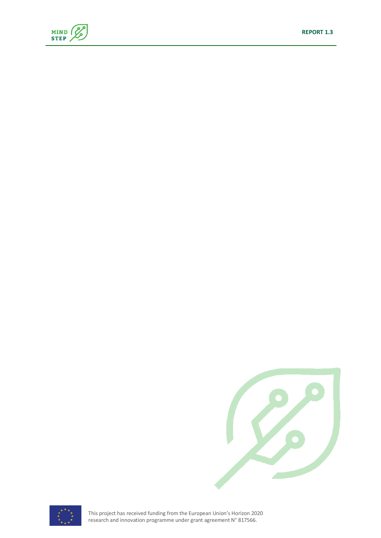





This project has received funding from the European Union's Horizon 2020 research and innovation programme under grant agreement N° 817566.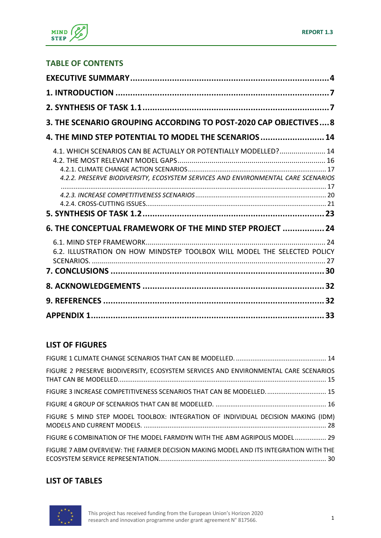

### **TABLE OF CONTENTS**

| 3. THE SCENARIO GROUPING ACCORDING TO POST-2020 CAP OBJECTIVES8                                                                                       |  |
|-------------------------------------------------------------------------------------------------------------------------------------------------------|--|
| 4. THE MIND STEP POTENTIAL TO MODEL THE SCENARIOS  14                                                                                                 |  |
| 4.1. WHICH SCENARIOS CAN BE ACTUALLY OR POTENTIALLY MODELLED? 14<br>4.2.2. PRESERVE BIODIVERSITY, ECOSYSTEM SERVICES AND ENVIRONMENTAL CARE SCENARIOS |  |
|                                                                                                                                                       |  |
| 6. THE CONCEPTUAL FRAMEWORK OF THE MIND STEP PROJECT  24                                                                                              |  |
| 6.2. ILLUSTRATION ON HOW MINDSTEP TOOLBOX WILL MODEL THE SELECTED POLICY                                                                              |  |
|                                                                                                                                                       |  |
|                                                                                                                                                       |  |
|                                                                                                                                                       |  |

### **LIST OF FIGURES**

| FIGURE 2 PRESERVE BIODIVERSITY, ECOSYSTEM SERVICES AND ENVIRONMENTAL CARE SCENARIOS  |
|--------------------------------------------------------------------------------------|
|                                                                                      |
|                                                                                      |
| FIGURE 5 MIND STEP MODEL TOOLBOX: INTEGRATION OF INDIVIDUAL DECISION MAKING (IDM)    |
| FIGURE 6 COMBINATION OF THE MODEL FARMDYN WITH THE ABM AGRIPOLIS MODEL 29            |
| FIGURE 7 ABM OVERVIEW: THE FARMER DECISION MAKING MODEL AND ITS INTEGRATION WITH THE |

### **LIST OF TABLES**

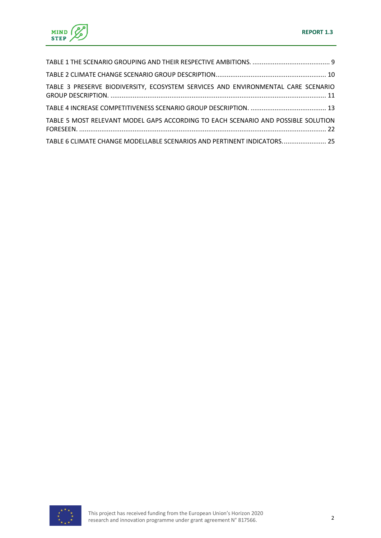

| TABLE 3 PRESERVE BIODIVERSITY, ECOSYSTEM SERVICES AND ENVIRONMENTAL CARE SCENARIO |  |
|-----------------------------------------------------------------------------------|--|
|                                                                                   |  |
| TABLE 5 MOST RELEVANT MODEL GAPS ACCORDING TO EACH SCENARIO AND POSSIBLE SOLUTION |  |
| TABLE 6 CLIMATE CHANGE MODELLABLE SCENARIOS AND PERTINENT INDICATORS 25           |  |

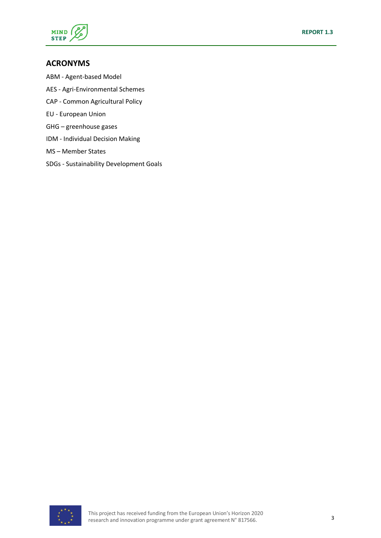

#### **ACRONYMS**

- ABM Agent-based Model
- AES Agri-Environmental Schemes
- CAP Common Agricultural Policy
- EU European Union
- GHG greenhouse gases
- IDM Individual Decision Making
- MS Member States
- SDGs Sustainability Development Goals

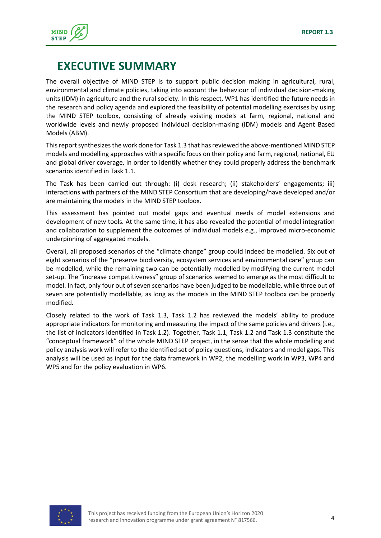

## <span id="page-5-0"></span>**EXECUTIVE SUMMARY**

The overall objective of MIND STEP is to support public decision making in agricultural, rural, environmental and climate policies, taking into account the behaviour of individual decision-making units (IDM) in agriculture and the rural society. In this respect, WP1 has identified the future needs in the research and policy agenda and explored the feasibility of potential modelling exercises by using the MIND STEP toolbox, consisting of already existing models at farm, regional, national and worldwide levels and newly proposed individual decision-making (IDM) models and Agent Based Models (ABM).

Thisreport synthesizes the work done for Task 1.3 that has reviewed the above-mentioned MIND STEP models and modelling approaches with a specific focus on their policy and farm, regional, national, EU and global driver coverage, in order to identify whether they could properly address the benchmark scenarios identified in Task 1.1.

The Task has been carried out through: (i) desk research; (ii) stakeholders' engagements; iii) interactions with partners of the MIND STEP Consortium that are developing/have developed and/or are maintaining the models in the MIND STEP toolbox.

This assessment has pointed out model gaps and eventual needs of model extensions and development of new tools. At the same time, it has also revealed the potential of model integration and collaboration to supplement the outcomes of individual models e.g., improved micro-economic underpinning of aggregated models.

Overall, all proposed scenarios of the "climate change" group could indeed be modelled. Six out of eight scenarios of the "preserve biodiversity, ecosystem services and environmental care" group can be modelled, while the remaining two can be potentially modelled by modifying the current model set-up. The "increase competitiveness" group of scenarios seemed to emerge as the most difficult to model. In fact, only four out of seven scenarios have been judged to be modellable, while three out of seven are potentially modellable, as long as the models in the MIND STEP toolbox can be properly modified.

Closely related to the work of Task 1.3, Task 1.2 has reviewed the models' ability to produce appropriate indicators for monitoring and measuring the impact of the same policies and drivers (i.e., the list of indicators identified in Task 1.2). Together, Task 1.1, Task 1.2 and Task 1.3 constitute the "conceptual framework" of the whole MIND STEP project, in the sense that the whole modelling and policy analysis work will refer to the identified set of policy questions, indicators and model gaps. This analysis will be used as input for the data framework in WP2, the modelling work in WP3, WP4 and WP5 and for the policy evaluation in WP6.

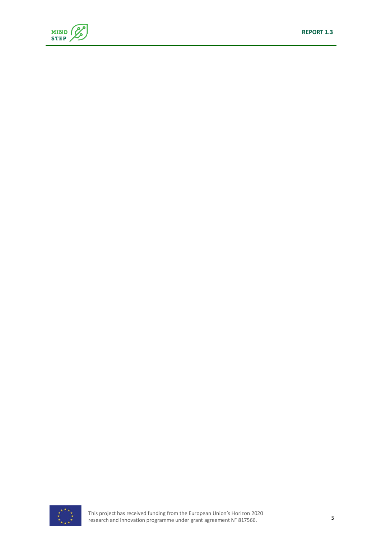

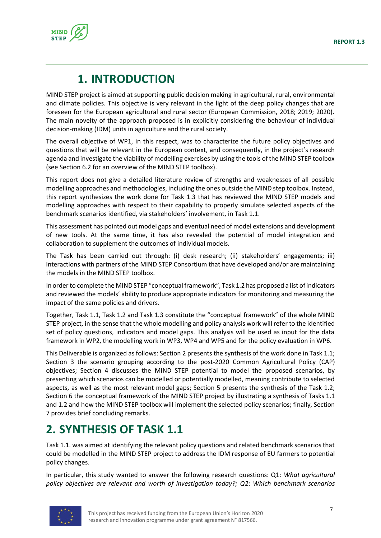

## **1. INTRODUCTION**

<span id="page-8-0"></span>MIND STEP project is aimed at supporting public decision making in agricultural, rural, environmental and climate policies. This objective is very relevant in the light of the deep policy changes that are foreseen for the European agricultural and rural sector (European Commission, 2018; 2019; 2020). The main novelty of the approach proposed is in explicitly considering the behaviour of individual decision-making (IDM) units in agriculture and the rural society.

The overall objective of WP1, in this respect, was to characterize the future policy objectives and questions that will be relevant in the European context, and consequently, in the project's research agenda and investigate the viability of modelling exercises by using the tools of the MIND STEP toolbox (see Section 6.2 for an overview of the MIND STEP toolbox).

This report does not give a detailed literature review of strengths and weaknesses of all possible modelling approaches and methodologies, including the ones outside the MIND step toolbox. Instead, this report synthesizes the work done for Task 1.3 that has reviewed the MIND STEP models and modelling approaches with respect to their capability to properly simulate selected aspects of the benchmark scenarios identified, via stakeholders' involvement, in Task 1.1.

This assessment has pointed out model gaps and eventual need of model extensions and development of new tools. At the same time, it has also revealed the potential of model integration and collaboration to supplement the outcomes of individual models.

The Task has been carried out through: (i) desk research; (ii) stakeholders' engagements; iii) interactions with partners of the MIND STEP Consortium that have developed and/or are maintaining the models in the MIND STEP toolbox.

In order to complete the MIND STEP "conceptual framework", Task 1.2 has proposed a list of indicators and reviewed the models' ability to produce appropriate indicators for monitoring and measuring the impact of the same policies and drivers.

Together, Task 1.1, Task 1.2 and Task 1.3 constitute the "conceptual framework" of the whole MIND STEP project, in the sense that the whole modelling and policy analysis work will refer to the identified set of policy questions, indicators and model gaps. This analysis will be used as input for the data framework in WP2, the modelling work in WP3, WP4 and WP5 and for the policy evaluation in WP6.

This Deliverable is organized as follows: Section 2 presents the synthesis of the work done in Task 1.1; Section 3 the scenario grouping according to the post-2020 Common Agricultural Policy (CAP) objectives; Section 4 discusses the MIND STEP potential to model the proposed scenarios, by presenting which scenarios can be modelled or potentially modelled, meaning contribute to selected aspects, as well as the most relevant model gaps; Section 5 presents the synthesis of the Task 1.2; Section 6 the conceptual framework of the MIND STEP project by illustrating a synthesis of Tasks 1.1 and 1.2 and how the MIND STEP toolbox will implement the selected policy scenarios; finally, Section 7 provides brief concluding remarks.

## <span id="page-8-1"></span>**2. SYNTHESIS OF TASK 1.1**

Task 1.1. was aimed at identifying the relevant policy questions and related benchmark scenarios that could be modelled in the MIND STEP project to address the IDM response of EU farmers to potential policy changes.

In particular, this study wanted to answer the following research questions: Q1: *What agricultural policy objectives are relevant and worth of investigation today?; Q2*: *Which benchmark scenarios* 

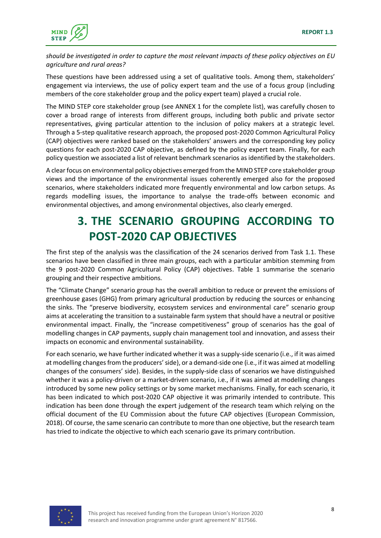

*should be investigated in order to capture the most relevant impacts of these policy objectives on EU agriculture and rural areas?*

These questions have been addressed using a set of qualitative tools. Among them, stakeholders' engagement via interviews, the use of policy expert team and the use of a focus group (including members of the core stakeholder group and the policy expert team) played a crucial role.

The MIND STEP core stakeholder group (see ANNEX 1 for the complete list), was carefully chosen to cover a broad range of interests from different groups, including both public and private sector representatives, giving particular attention to the inclusion of policy makers at a strategic level. Through a 5-step qualitative research approach, the proposed post-2020 Common Agricultural Policy (CAP) objectives were ranked based on the stakeholders' answers and the corresponding key policy questions for each post-2020 CAP objective, as defined by the policy expert team. Finally, for each policy question we associated a list of relevant benchmark scenarios as identified by the stakeholders.

A clear focus on environmental policy objectives emerged from the MIND STEP core stakeholder group views and the importance of the environmental issues coherently emerged also for the proposed scenarios, where stakeholders indicated more frequently environmental and low carbon setups. As regards modelling issues, the importance to analyse the trade-offs between economic and environmental objectives, and among environmental objectives, also clearly emerged.

## <span id="page-9-0"></span>**3. THE SCENARIO GROUPING ACCORDING TO POST-2020 CAP OBJECTIVES**

The first step of the analysis was the classification of the 24 scenarios derived from Task 1.1. These scenarios have been classified in three main groups, each with a particular ambition stemming from the 9 post-2020 Common Agricultural Policy (CAP) objectives. [Table 1](#page-10-0) summarise the scenario grouping and their respective ambitions.

The "Climate Change" scenario group has the overall ambition to reduce or prevent the emissions of greenhouse gases (GHG) from primary agricultural production by reducing the sources or enhancing the sinks. The "preserve biodiversity, ecosystem services and environmental care" scenario group aims at accelerating the transition to a sustainable farm system that should have a neutral or positive environmental impact. Finally, the "increase competitiveness" group of scenarios has the goal of modelling changes in CAP payments, supply chain management tool and innovation, and assess their impacts on economic and environmental sustainability.

For each scenario, we have further indicated whether it was a supply-side scenario (i.e., if it was aimed at modelling changes from the producers' side), or a demand-side one (i.e., if it was aimed at modelling changes of the consumers' side). Besides, in the supply-side class of scenarios we have distinguished whether it was a policy-driven or a market-driven scenario, i.e., if it was aimed at modelling changes introduced by some new policy settings or by some market mechanisms. Finally, for each scenario, it has been indicated to which post-2020 CAP objective it was primarily intended to contribute. This indication has been done through the expert judgement of the research team which relying on the official document of the EU Commission about the future CAP objectives (European Commission, 2018). Of course, the same scenario can contribute to more than one objective, but the research team has tried to indicate the objective to which each scenario gave its primary contribution.

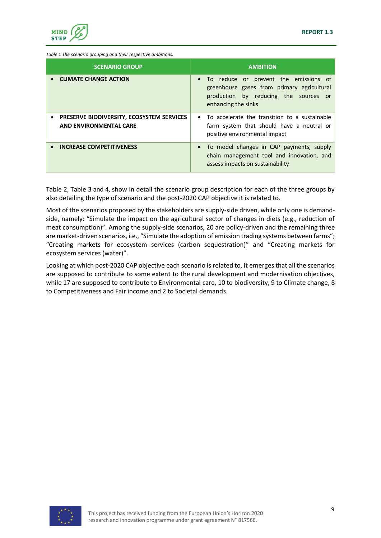<span id="page-10-0"></span>*Table 1 The scenario grouping and their respective ambitions.*

| <b>SCENARIO GROUP</b>                                                      | <b>AMBITION</b>                                                                                                                                          |
|----------------------------------------------------------------------------|----------------------------------------------------------------------------------------------------------------------------------------------------------|
| <b>CLIMATE CHANGE ACTION</b>                                               | • To reduce or prevent the emissions of<br>greenhouse gases from primary agricultural<br>production by reducing the sources<br>or<br>enhancing the sinks |
| PRESERVE BIODIVERSITY, ECOSYSTEM SERVICES<br><b>AND ENVIRONMENTAL CARE</b> | To accelerate the transition to a sustainable<br>$\bullet$<br>farm system that should have a neutral or<br>positive environmental impact                 |
| <b>INCREASE COMPETITIVENESS</b>                                            | To model changes in CAP payments, supply<br>chain management tool and innovation, and<br>assess impacts on sustainability                                |

[Table 2,](#page-11-0) [Table 3](#page-12-0) and 4, show in detail the scenario group description for each of the three groups by also detailing the type of scenario and the post-2020 CAP objective it is related to.

Most of the scenarios proposed by the stakeholders are supply-side driven, while only one is demandside, namely: "Simulate the impact on the agricultural sector of changes in diets (e.g., reduction of meat consumption)". Among the supply-side scenarios, 20 are policy-driven and the remaining three are market-driven scenarios, i.e., "Simulate the adoption of emission trading systems between farms"; "Creating markets for ecosystem services (carbon sequestration)" and "Creating markets for ecosystem services (water)".

Looking at which post-2020 CAP objective each scenario is related to, it emerges that all the scenarios are supposed to contribute to some extent to the rural development and modernisation objectives, while 17 are supposed to contribute to Environmental care, 10 to biodiversity, 9 to Climate change, 8 to Competitiveness and Fair income and 2 to Societal demands.

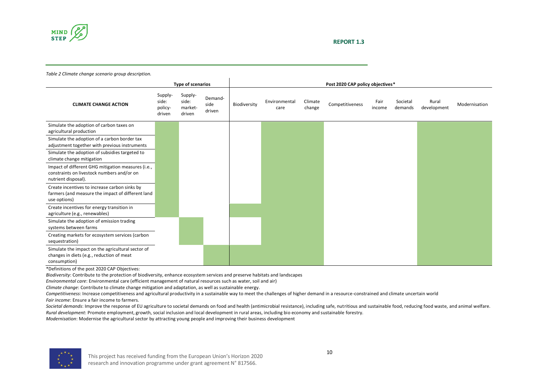

#### **REPORT 1.3**

#### *Table 2 Climate change scenario group description.*

|                                                                                                                         |                                       | Type of scenarios                     |                           |              |                       |                   | Post 2020 CAP policy objectives* |                |                     |                      |               |
|-------------------------------------------------------------------------------------------------------------------------|---------------------------------------|---------------------------------------|---------------------------|--------------|-----------------------|-------------------|----------------------------------|----------------|---------------------|----------------------|---------------|
| <b>CLIMATE CHANGE ACTION</b>                                                                                            | Supply-<br>side:<br>policy-<br>driven | Supply-<br>side:<br>market-<br>driven | Demand-<br>side<br>driven | Biodiversity | Environmental<br>care | Climate<br>change | Competitiveness                  | Fair<br>income | Societal<br>demands | Rural<br>development | Modernisation |
| Simulate the adoption of carbon taxes on<br>agricultural production                                                     |                                       |                                       |                           |              |                       |                   |                                  |                |                     |                      |               |
| Simulate the adoption of a carbon border tax<br>adjustment together with previous instruments                           |                                       |                                       |                           |              |                       |                   |                                  |                |                     |                      |               |
| Simulate the adoption of subsidies targeted to<br>climate change mitigation                                             |                                       |                                       |                           |              |                       |                   |                                  |                |                     |                      |               |
| Impact of different GHG mitigation measures (i.e.,<br>constraints on livestock numbers and/or on<br>nutrient disposal). |                                       |                                       |                           |              |                       |                   |                                  |                |                     |                      |               |
| Create incentives to increase carbon sinks by<br>farmers (and measure the impact of different land<br>use options)      |                                       |                                       |                           |              |                       |                   |                                  |                |                     |                      |               |
| Create incentives for energy transition in<br>agriculture (e.g., renewables)                                            |                                       |                                       |                           |              |                       |                   |                                  |                |                     |                      |               |
| Simulate the adoption of emission trading<br>systems between farms                                                      |                                       |                                       |                           |              |                       |                   |                                  |                |                     |                      |               |
| Creating markets for ecosystem services (carbon<br>sequestration)                                                       |                                       |                                       |                           |              |                       |                   |                                  |                |                     |                      |               |
| Simulate the impact on the agricultural sector of<br>changes in diets (e.g., reduction of meat<br>consumption)          |                                       |                                       |                           |              |                       |                   |                                  |                |                     |                      |               |

<span id="page-11-0"></span>\*Definitions of the post 2020 CAP Objectives:

*Biodiversity*: Contribute to the protection of biodiversity, enhance ecosystem services and preserve habitats and landscapes

*Environmental care*: Environmental care (efficient management of natural resources such as water, soil and air)

*Climate change*: Contribute to climate change mitigation and adaptation, as well as sustainable energy.

*Competitiveness*: Increase competitiveness and agricultural productivity in a sustainable way to meet the challenges of higher demand in a resource-constrained and climate uncertain world

*Fair income*: Ensure a fair income to farmers.

Societal demands: Improve the response of EU agriculture to societal demands on food and health (antimicrobial resistance), including safe, nutritious and sustainable food, reducing food waste, and animal welfare. *Rural development*: Promote employment, growth, social inclusion and local development in rural areas, including bio economy and sustainable forestry.

*Modernisation*: Modernise the agricultural sector by attracting young people and improving their business development

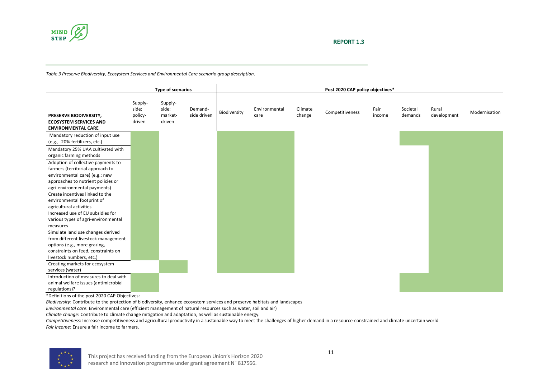

*Table 3 Preserve Biodiversity, Ecosystem Services and Environmental Care scenario group description.*

|                                                                                      |                                       | Type of scenarios                     |                        |              | Post 2020 CAP policy objectives* |                   |                 |                |                     |                      |               |
|--------------------------------------------------------------------------------------|---------------------------------------|---------------------------------------|------------------------|--------------|----------------------------------|-------------------|-----------------|----------------|---------------------|----------------------|---------------|
| PRESERVE BIODIVERSITY,<br><b>ECOSYSTEM SERVICES AND</b><br><b>ENVIRONMENTAL CARE</b> | Supply-<br>side:<br>policy-<br>driven | Supply-<br>side:<br>market-<br>driven | Demand-<br>side driven | Biodiversity | Environmental<br>care            | Climate<br>change | Competitiveness | Fair<br>income | Societal<br>demands | Rural<br>development | Modernisation |
| Mandatory reduction of input use                                                     |                                       |                                       |                        |              |                                  |                   |                 |                |                     |                      |               |
| (e.g., -20% fertilizers, etc.)                                                       |                                       |                                       |                        |              |                                  |                   |                 |                |                     |                      |               |
| Mandatory 25% UAA cultivated with<br>organic farming methods                         |                                       |                                       |                        |              |                                  |                   |                 |                |                     |                      |               |
| Adoption of collective payments to<br>farmers (territorial approach to               |                                       |                                       |                        |              |                                  |                   |                 |                |                     |                      |               |
| environmental care) (e.g.: new<br>approaches to nutrient policies or                 |                                       |                                       |                        |              |                                  |                   |                 |                |                     |                      |               |
| agri-environmental payments)                                                         |                                       |                                       |                        |              |                                  |                   |                 |                |                     |                      |               |
| Create incentives linked to the<br>environmental footprint of                        |                                       |                                       |                        |              |                                  |                   |                 |                |                     |                      |               |
| agricultural activities                                                              |                                       |                                       |                        |              |                                  |                   |                 |                |                     |                      |               |
| Increased use of EU subsidies for                                                    |                                       |                                       |                        |              |                                  |                   |                 |                |                     |                      |               |
| various types of agri-environmental                                                  |                                       |                                       |                        |              |                                  |                   |                 |                |                     |                      |               |
| measures                                                                             |                                       |                                       |                        |              |                                  |                   |                 |                |                     |                      |               |
| Simulate land use changes derived                                                    |                                       |                                       |                        |              |                                  |                   |                 |                |                     |                      |               |
| from different livestock management                                                  |                                       |                                       |                        |              |                                  |                   |                 |                |                     |                      |               |
| options (e.g., more grazing,                                                         |                                       |                                       |                        |              |                                  |                   |                 |                |                     |                      |               |
| constraints on feed, constraints on                                                  |                                       |                                       |                        |              |                                  |                   |                 |                |                     |                      |               |
| livestock numbers, etc.)                                                             |                                       |                                       |                        |              |                                  |                   |                 |                |                     |                      |               |
| Creating markets for ecosystem<br>services (water)                                   |                                       |                                       |                        |              |                                  |                   |                 |                |                     |                      |               |
| Introduction of measures to deal with                                                |                                       |                                       |                        |              |                                  |                   |                 |                |                     |                      |               |
| animal welfare issues (antimicrobial                                                 |                                       |                                       |                        |              |                                  |                   |                 |                |                     |                      |               |
| regulations)?                                                                        |                                       |                                       |                        |              |                                  |                   |                 |                |                     |                      |               |

<span id="page-12-0"></span>\*Definitions of the post 2020 CAP Objectives:

*Biodiversity*: Contribute to the protection of biodiversity, enhance ecosystem services and preserve habitats and landscapes

*Environmental care*: Environmental care (efficient management of natural resources such as water, soil and air)

*Climate change*: Contribute to climate change mitigation and adaptation, as well as sustainable energy.

*Competitiveness*: Increase competitiveness and agricultural productivity in a sustainable way to meet the challenges of higher demand in a resource-constrained and climate uncertain world *Fair income*: Ensure a fair income to farmers.

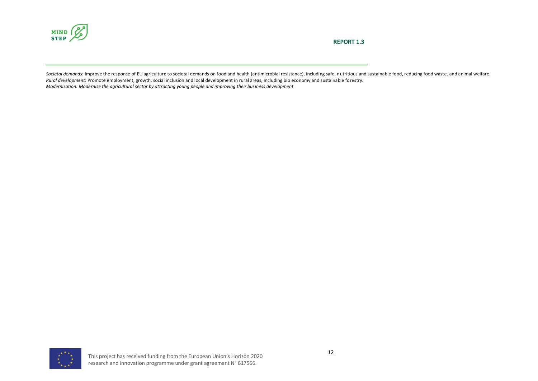

**REPORT 1.3**

Societal demands: Improve the response of EU agriculture to societal demands on food and health (antimicrobial resistance), including safe, nutritious and sustainable food, reducing food waste, and animal welfare. *Rural development*: Promote employment, growth, social inclusion and local development in rural areas, including bio economy and sustainable forestry. *Modernisation: Modernise the agricultural sector by attracting young people and improving their business development*

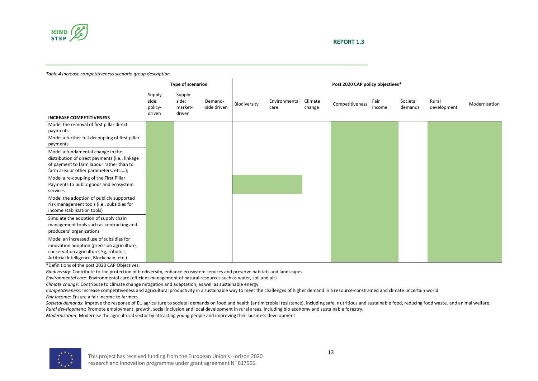

#### **REPORT 1.3**

#### *Table 4 Increase competitiveness scenario group description.*

|                                                                                                                                                                                 | Type of scenarios                     |                                       |                        |              | Post 2020 CAP policy objectives* |                   |                 |                |                     |                      |               |
|---------------------------------------------------------------------------------------------------------------------------------------------------------------------------------|---------------------------------------|---------------------------------------|------------------------|--------------|----------------------------------|-------------------|-----------------|----------------|---------------------|----------------------|---------------|
| <b>INCREASE COMPETITIVENESS</b>                                                                                                                                                 | Supply-<br>side:<br>policy-<br>driven | Supply-<br>side:<br>market-<br>driven | Demand-<br>side driven | Biodiversity | Environmental<br>care            | Climate<br>change | Competitiveness | Fair<br>income | Societal<br>demands | Rural<br>development | Modernisation |
| Model the removal of first pillar direct<br>payments                                                                                                                            |                                       |                                       |                        |              |                                  |                   |                 |                |                     |                      |               |
| Model a further full decoupling of first pillar<br>payments                                                                                                                     |                                       |                                       |                        |              |                                  |                   |                 |                |                     |                      |               |
| Model a fundamental change in the<br>distribution of direct payments (i.e., linkage<br>of payment to farm labour rather than to<br>farm area or other parameters, etc);         |                                       |                                       |                        |              |                                  |                   |                 |                |                     |                      |               |
| Model a re-coupling of the First Pillar<br>Payments to public goods and ecosystem<br>services                                                                                   |                                       |                                       |                        |              |                                  |                   |                 |                |                     |                      |               |
| Model the adoption of publicly supported<br>risk management tools (i.e., subsidies for<br>income stabilization tools)                                                           |                                       |                                       |                        |              |                                  |                   |                 |                |                     |                      |               |
| Simulate the adoption of supply chain<br>management tools such as contracting and<br>producers' organizations                                                                   |                                       |                                       |                        |              |                                  |                   |                 |                |                     |                      |               |
| Model an increased use of subsidies for<br>innovation adoption (precision agriculture,<br>conservation agriculture, 5g, robotics,<br>Artificial Intelligence, Blockchain, etc.) |                                       |                                       |                        |              |                                  |                   |                 |                |                     |                      |               |

<span id="page-14-0"></span>\*Definitions of the post 2020 CAP Objectives:

*Biodiversity*: Contribute to the protection of biodiversity, enhance ecosystem services and preserve habitats and landscapes

*Environmental care*: Environmental care (efficient management of natural resources such as water, soil and air)

*Climate change*: Contribute to climate change mitigation and adaptation, as well as sustainable energy.

*Competitiveness*: Increase competitiveness and agricultural productivity in a sustainable way to meet the challenges of higher demand in a resource-constrained and climate uncertain world *Fair income*: Ensure a fair income to farmers.

 $\mathbf{r}$ 

Societal demands: Improve the response of EU agriculture to societal demands on food and health (antimicrobial resistance), including safe, nutritious and sustainable food, reducing food waste, and animal welfare. *Rural development*: Promote employment, growth, social inclusion and local development in rural areas, including bio economy and sustainable forestry.

*Modernisation*: Modernise the agricultural sector by attracting young people and improving their business development

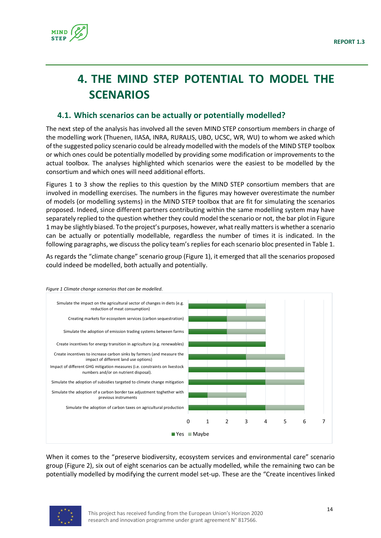

## <span id="page-15-0"></span>**4. THE MIND STEP POTENTIAL TO MODEL THE SCENARIOS**

#### <span id="page-15-1"></span>**4.1. Which scenarios can be actually or potentially modelled?**

The next step of the analysis has involved all the seven MIND STEP consortium members in charge of the modelling work (Thuenen, IIASA, INRA, RURALIS, UBO, UCSC, WR, WU) to whom we asked which of the suggested policy scenario could be already modelled with the models of the MIND STEP toolbox or which ones could be potentially modelled by providing some modification or improvements to the actual toolbox. The analyses highlighted which scenarios were the easiest to be modelled by the consortium and which ones will need additional efforts.

Figures 1 to 3 show the replies to this question by the MIND STEP consortium members that are involved in modelling exercises. The numbers in the figures may however overestimate the number of models (or modelling systems) in the MIND STEP toolbox that are fit for simulating the scenarios proposed. Indeed, since different partners contributing within the same modelling system may have separately replied to the question whether they could model the scenario or not, the bar plot in Figure 1 may be slightly biased. To the project's purposes, however, what really matters is whether a scenario can be actually or potentially modellable, regardless the number of times it is indicated. In the following paragraphs, we discuss the policy team's replies for each scenario bloc presented in Table 1.

As regards the "climate change" scenario group (Figure 1), it emerged that all the scenarios proposed could indeed be modelled, both actually and potentially.



<span id="page-15-2"></span>*Figure 1 Climate change scenarios that can be modelled.*

When it comes to the "preserve biodiversity, ecosystem services and environmental care" scenario group (Figure 2), six out of eight scenarios can be actually modelled, while the remaining two can be potentially modelled by modifying the current model set-up. These are the "Create incentives linked

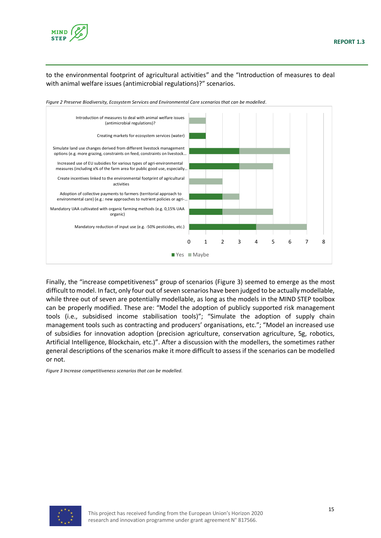

#### to the environmental footprint of agricultural activities" and the "Introduction of measures to deal with animal welfare issues (antimicrobial regulations)?" scenarios.



<span id="page-16-0"></span>*Figure 2 Preserve Biodiversity, Ecosystem Services and Environmental Care scenarios that can be modelled.*

Finally, the "increase competitiveness" group of scenarios (Figure 3) seemed to emerge as the most difficult to model. In fact, only four out of seven scenarios have been judged to be actually modellable, while three out of seven are potentially modellable, as long as the models in the MIND STEP toolbox can be properly modified. These are: "Model the adoption of publicly supported risk management tools (i.e., subsidised income stabilisation tools)"; "Simulate the adoption of supply chain management tools such as contracting and producers' organisations, etc."; "Model an increased use of subsidies for innovation adoption (precision agriculture, conservation agriculture, 5g, robotics, Artificial Intelligence, Blockchain, etc.)". After a discussion with the modellers, the sometimes rather general descriptions of the scenarios make it more difficult to assess if the scenarios can be modelled or not.

<span id="page-16-1"></span>*Figure 3 Increase competitiveness scenarios that can be modelled.*

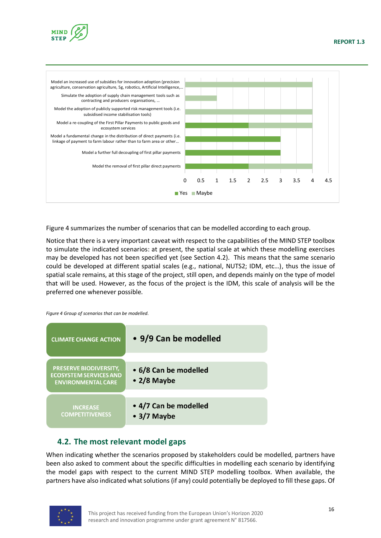



Figure 4 summarizes the number of scenarios that can be modelled according to each group.

Notice that there is a very important caveat with respect to the capabilities of the MIND STEP toolbox to simulate the indicated scenarios: at present, the spatial scale at which these modelling exercises may be developed has not been specified yet (see Section 4.2). This means that the same scenario could be developed at different spatial scales (e.g., national, NUTS2; IDM, etc…), thus the issue of spatial scale remains, at this stage of the project, still open, and depends mainly on the type of model that will be used. However, as the focus of the project is the IDM, this scale of analysis will be the preferred one whenever possible.

<span id="page-17-1"></span>*Figure 4 Group of scenarios that can be modelled.*

| <b>CLIMATE CHANGE ACTION</b>                                                                | • 9/9 Can be modelled                      |
|---------------------------------------------------------------------------------------------|--------------------------------------------|
|                                                                                             |                                            |
| <b>PRESERVE BIODIVERSITY,</b><br><b>ECOSYSTEM SERVICES AND</b><br><b>ENVIRONMENTAL CARE</b> | • 6/8 Can be modelled<br>$\cdot$ 2/8 Maybe |
|                                                                                             |                                            |
| <b>INCREASE</b><br><b>COMPETITIVENESS</b>                                                   | • 4/7 Can be modelled<br>$\cdot$ 3/7 Maybe |

### <span id="page-17-0"></span>**4.2. The most relevant model gaps**

When indicating whether the scenarios proposed by stakeholders could be modelled, partners have been also asked to comment about the specific difficulties in modelling each scenario by identifying the model gaps with respect to the current MIND STEP modelling toolbox. When available, the partners have also indicated what solutions (if any) could potentially be deployed to fill these gaps. Of

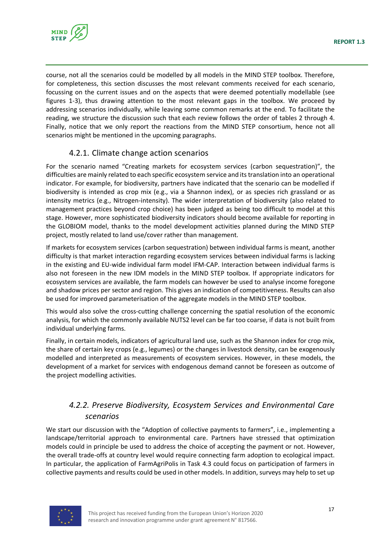

course, not all the scenarios could be modelled by all models in the MIND STEP toolbox. Therefore, for completeness, this section discusses the most relevant comments received for each scenario, focussing on the current issues and on the aspects that were deemed potentially modellable (see figures 1-3), thus drawing attention to the most relevant gaps in the toolbox. We proceed by addressing scenarios individually, while leaving some common remarks at the end. To facilitate the reading, we structure the discussion such that each review follows the order of tables 2 through 4. Finally, notice that we only report the reactions from the MIND STEP consortium, hence not all scenarios might be mentioned in the upcoming paragraphs.

### 4.2.1. Climate change action scenarios

<span id="page-18-0"></span>For the scenario named "Creating markets for ecosystem services (carbon sequestration)", the difficulties are mainly related to each specific ecosystem service and its translation into an operational indicator. For example, for biodiversity, partners have indicated that the scenario can be modelled if biodiversity is intended as crop mix (e.g., via a Shannon index), or as species rich grassland or as intensity metrics (e.g., Nitrogen-intensity). The wider interpretation of biodiversity (also related to management practices beyond crop choice) has been judged as being too difficult to model at this stage. However, more sophisticated biodiversity indicators should become available for reporting in the GLOBIOM model, thanks to the model development activities planned during the MIND STEP project, mostly related to land use/cover rather than management.

If markets for ecosystem services (carbon sequestration) between individual farms is meant, another difficulty is that market interaction regarding ecosystem services between individual farms is lacking in the existing and EU-wide individual farm model IFM-CAP. Interaction between individual farms is also not foreseen in the new IDM models in the MIND STEP toolbox. If appropriate indicators for ecosystem services are available, the farm models can however be used to analyse income foregone and shadow prices per sector and region. This gives an indication of competitiveness. Results can also be used for improved parameterisation of the aggregate models in the MIND STEP toolbox.

This would also solve the cross-cutting challenge concerning the spatial resolution of the economic analysis, for which the commonly available NUTS2 level can be far too coarse, if data is not built from individual underlying farms.

Finally, in certain models, indicators of agricultural land use, such as the Shannon index for crop mix, the share of certain key crops (e.g., legumes) or the changes in livestock density, can be exogenously modelled and interpreted as measurements of ecosystem services. However, in these models, the development of a market for services with endogenous demand cannot be foreseen as outcome of the project modelling activities.

### <span id="page-18-1"></span>*4.2.2. Preserve Biodiversity, Ecosystem Services and Environmental Care scenarios*

We start our discussion with the "Adoption of collective payments to farmers", i.e., implementing a landscape/territorial approach to environmental care. Partners have stressed that optimization models could in principle be used to address the choice of accepting the payment or not. However, the overall trade-offs at country level would require connecting farm adoption to ecological impact. In particular, the application of FarmAgriPolis in Task 4.3 could focus on participation of farmers in collective payments and results could be used in other models. In addition, surveys may help to set up

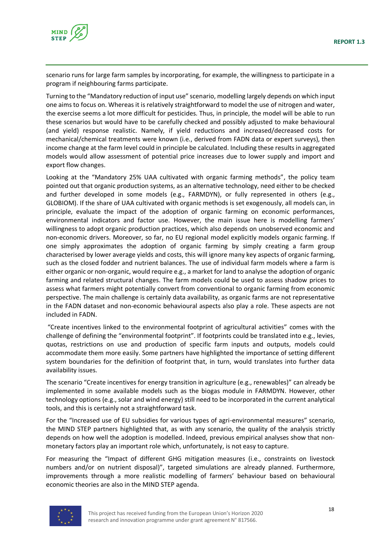

scenario runs for large farm samples by incorporating, for example, the willingness to participate in a program if neighbouring farms participate.

Turning to the "Mandatory reduction of input use" scenario, modelling largely depends on which input one aims to focus on. Whereas it is relatively straightforward to model the use of nitrogen and water, the exercise seems a lot more difficult for pesticides. Thus, in principle, the model will be able to run these scenarios but would have to be carefully checked and possibly adjusted to make behavioural (and yield) response realistic. Namely, if yield reductions and increased/decreased costs for mechanical/chemical treatments were known (i.e., derived from FADN data or expert surveys), then income change at the farm level could in principle be calculated. Including these results in aggregated models would allow assessment of potential price increases due to lower supply and import and export flow changes.

Looking at the "Mandatory 25% UAA cultivated with organic farming methods", the policy team pointed out that organic production systems, as an alternative technology, need either to be checked and further developed in some models (e.g., FARMDYN), or fully represented in others (e.g., GLOBIOM). If the share of UAA cultivated with organic methods is set exogenously, all models can, in principle, evaluate the impact of the adoption of organic farming on economic performances, environmental indicators and factor use. However, the main issue here is modelling farmers' willingness to adopt organic production practices, which also depends on unobserved economic and non-economic drivers. Moreover, so far, no EU regional model explicitly models organic farming. If one simply approximates the adoption of organic farming by simply creating a farm group characterised by lower average yields and costs, this will ignore many key aspects of organic farming, such as the closed fodder and nutrient balances. The use of individual farm models where a farm is either organic or non-organic, would require e.g., a market for land to analyse the adoption of organic farming and related structural changes. The farm models could be used to assess shadow prices to assess what farmers might potentially convert from conventional to organic farming from economic perspective. The main challenge is certainly data availability, as organic farms are not representative in the FADN dataset and non-economic behavioural aspects also play a role. These aspects are not included in FADN.

"Create incentives linked to the environmental footprint of agricultural activities" comes with the challenge of defining the "environmental footprint". If footprints could be translated into e.g., levies, quotas, restrictions on use and production of specific farm inputs and outputs, models could accommodate them more easily. Some partners have highlighted the importance of setting different system boundaries for the definition of footprint that, in turn, would translates into further data availability issues.

The scenario "Create incentives for energy transition in agriculture (e.g., renewables)" can already be implemented in some available models such as the biogas module in FARMDYN. However, other technology options (e.g., solar and wind energy) still need to be incorporated in the current analytical tools, and this is certainly not a straightforward task.

For the "Increased use of EU subsidies for various types of agri-environmental measures" scenario, the MIND STEP partners highlighted that, as with any scenario, the quality of the analysis strictly depends on how well the adoption is modelled. Indeed, previous empirical analyses show that nonmonetary factors play an important role which, unfortunately, is not easy to capture.

For measuring the "Impact of different GHG mitigation measures (i.e., constraints on livestock numbers and/or on nutrient disposal)", targeted simulations are already planned. Furthermore, improvements through a more realistic modelling of farmers' behaviour based on behavioural economic theories are also in the MIND STEP agenda.

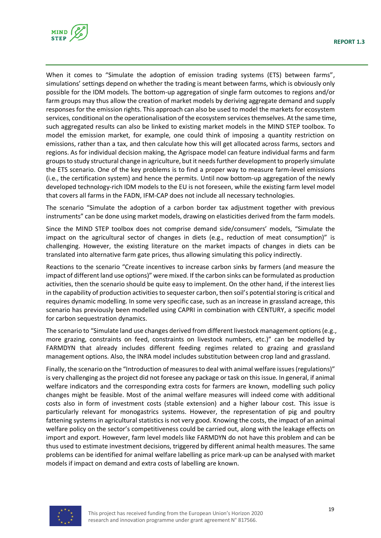

When it comes to "Simulate the adoption of emission trading systems (ETS) between farms", simulations' settings depend on whether the trading is meant between farms, which is obviously only possible for the IDM models. The bottom-up aggregation of single farm outcomes to regions and/or farm groups may thus allow the creation of market models by deriving aggregate demand and supply responses for the emission rights. This approach can also be used to model the markets for ecosystem services, conditional on the operationalisation of the ecosystem services themselves. At the same time, such aggregated results can also be linked to existing market models in the MIND STEP toolbox. To model the emission market, for example, one could think of imposing a quantity restriction on emissions, rather than a tax, and then calculate how this will get allocated across farms, sectors and regions. As for individual decision making, the Agrispace model can feature individual farms and farm groups to study structural change in agriculture, but it needs further development to properly simulate the ETS scenario. One of the key problems is to find a proper way to measure farm-level emissions (i.e., the certification system) and hence the permits. Until now bottom-up aggregation of the newly developed technology-rich IDM models to the EU is not foreseen, while the existing farm level model that covers all farms in the FADN, IFM-CAP does not include all necessary technologies.

The scenario "Simulate the adoption of a carbon border tax adjustment together with previous instruments" can be done using market models, drawing on elasticities derived from the farm models.

Since the MIND STEP toolbox does not comprise demand side/consumers' models, "Simulate the impact on the agricultural sector of changes in diets (e.g., reduction of meat consumption)" is challenging. However, the existing literature on the market impacts of changes in diets can be translated into alternative farm gate prices, thus allowing simulating this policy indirectly.

Reactions to the scenario "Create incentives to increase carbon sinks by farmers (and measure the impact of different land use options)" were mixed. If the carbon sinks can be formulated as production activities, then the scenario should be quite easy to implement. On the other hand, if the interest lies in the capability of production activities to sequester carbon, then soil's potential storing is critical and requires dynamic modelling. In some very specific case, such as an increase in grassland acreage, this scenario has previously been modelled using CAPRI in combination with CENTURY, a specific model for carbon sequestration dynamics.

The scenario to "Simulate land use changes derived from different livestock management options (e.g., more grazing, constraints on feed, constraints on livestock numbers, etc.)" can be modelled by FARMDYN that already includes different feeding regimes related to grazing and grassland management options. Also, the INRA model includes substitution between crop land and grassland.

Finally, the scenario on the "Introduction of measures to deal with animal welfare issues (regulations)" is very challenging as the project did not foresee any package or task on this issue. In general, if animal welfare indicators and the corresponding extra costs for farmers are known, modelling such policy changes might be feasible. Most of the animal welfare measures will indeed come with additional costs also in form of investment costs (stable extension) and a higher labour cost. This issue is particularly relevant for monogastrics systems. However, the representation of pig and poultry fattening systems in agricultural statistics is not very good. Knowing the costs, the impact of an animal welfare policy on the sector's competitiveness could be carried out, along with the leakage effects on import and export. However, farm level models like FARMDYN do not have this problem and can be thus used to estimate investment decisions, triggered by different animal health measures. The same problems can be identified for animal welfare labelling as price mark-up can be analysed with market models if impact on demand and extra costs of labelling are known.

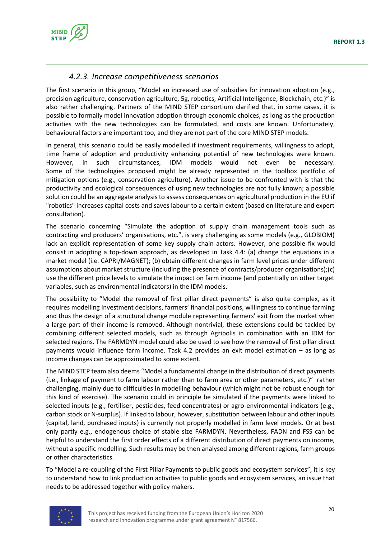

### *4.2.3. Increase competitiveness scenarios*

<span id="page-21-0"></span>The first scenario in this group, "Model an increased use of subsidies for innovation adoption (e.g., precision agriculture, conservation agriculture, 5g, robotics, Artificial Intelligence, Blockchain, etc.)" is also rather challenging. Partners of the MIND STEP consortium clarified that, in some cases, it is possible to formally model innovation adoption through economic choices, as long as the production activities with the new technologies can be formulated, and costs are known. Unfortunately, behavioural factors are important too, and they are not part of the core MIND STEP models.

In general, this scenario could be easily modelled if investment requirements, willingness to adopt, time frame of adoption and productivity enhancing potential of new technologies were known. However, in such circumstances, IDM models would not even be necessary. Some of the technologies proposed might be already represented in the toolbox portfolio of mitigation options (e.g., conservation agriculture). Another issue to be confronted with is that the productivity and ecological consequences of using new technologies are not fully known; a possible solution could be an aggregate analysis to assess consequences on agricultural production in the EU if "robotics" increases capital costs and saves labour to a certain extent (based on literature and expert consultation).

The scenario concerning "Simulate the adoption of supply chain management tools such as contracting and producers' organisations, etc.", is very challenging as some models (e.g., GLOBIOM) lack an explicit representation of some key supply chain actors. However, one possible fix would consist in adopting a top-down approach, as developed in Task 4.4: (a) change the equations in a market model (i.e. CAPRI/MAGNET); (b) obtain different changes in farm level prices under different assumptions about market structure (including the presence of contracts/producer organisations);(c) use the different price levels to simulate the impact on farm income (and potentially on other target variables, such as environmental indicators) in the IDM models.

The possibility to "Model the removal of first pillar direct payments" is also quite complex, as it requires modelling investment decisions, farmers' financial positions, willingness to continue farming and thus the design of a structural change module representing farmers' exit from the market when a large part of their income is removed. Although nontrivial, these extensions could be tackled by combining different selected models, such as through Agripolis in combination with an IDM for selected regions. The FARMDYN model could also be used to see how the removal of first pillar direct payments would influence farm income. Task 4.2 provides an exit model estimation – as long as income changes can be approximated to some extent.

The MIND STEP team also deems "Model a fundamental change in the distribution of direct payments (i.e., linkage of payment to farm labour rather than to farm area or other parameters, etc.)" rather challenging, mainly due to difficulties in modelling behaviour (which might not be robust enough for this kind of exercise). The scenario could in principle be simulated if the payments were linked to selected inputs (e.g., fertiliser, pesticides, feed concentrates) or agro-environmental indicators (e.g., carbon stock or N-surplus). If linked to labour, however, substitution between labour and other inputs (capital, land, purchased inputs) is currently not properly modelled in farm level models. Or at best only partly e.g., endogenous choice of stable size FARMDYN. Nevertheless, FADN and FSS can be helpful to understand the first order effects of a different distribution of direct payments on income, without a specific modelling. Such results may be then analysed among different regions, farm groups or other characteristics.

To "Model a re-coupling of the First Pillar Payments to public goods and ecosystem services", it is key to understand how to link production activities to public goods and ecosystem services, an issue that needs to be addressed together with policy makers.

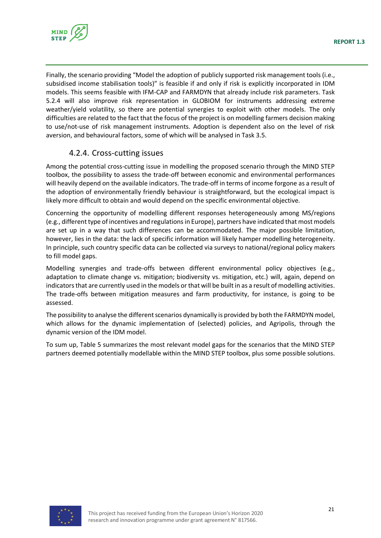

Finally, the scenario providing "Model the adoption of publicly supported risk management tools (i.e., subsidised income stabilisation tools)" is feasible if and only if risk is explicitly incorporated in IDM models. This seems feasible with IFM-CAP and FARMDYN that already include risk parameters. Task 5.2.4 will also improve risk representation in GLOBIOM for instruments addressing extreme weather/yield volatility, so there are potential synergies to exploit with other models. The only difficulties are related to the fact that the focus of the project is on modelling farmers decision making to use/not-use of risk management instruments. Adoption is dependent also on the level of risk aversion, and behavioural factors, some of which will be analysed in Task 3.5.

### 4.2.4. Cross-cutting issues

<span id="page-22-0"></span>Among the potential cross-cutting issue in modelling the proposed scenario through the MIND STEP toolbox, the possibility to assess the trade-off between economic and environmental performances will heavily depend on the available indicators. The trade-off in terms of income forgone as a result of the adoption of environmentally friendly behaviour is straightforward, but the ecological impact is likely more difficult to obtain and would depend on the specific environmental objective.

Concerning the opportunity of modelling different responses heterogeneously among MS/regions (e.g., different type of incentives and regulations in Europe), partners have indicated that most models are set up in a way that such differences can be accommodated. The major possible limitation, however, lies in the data: the lack of specific information will likely hamper modelling heterogeneity. In principle, such country specific data can be collected via surveys to national/regional policy makers to fill model gaps.

Modelling synergies and trade-offs between different environmental policy objectives (e.g., adaptation to climate change vs. mitigation; biodiversity vs. mitigation, etc.) will, again, depend on indicators that are currently used in the models or that will be built in as a result of modelling activities. The trade-offs between mitigation measures and farm productivity, for instance, is going to be assessed.

The possibility to analyse the different scenarios dynamically is provided by both the FARMDYN model, which allows for the dynamic implementation of (selected) policies, and Agripolis, through the dynamic version of the IDM model.

To sum up, Table 5 summarizes the most relevant model gaps for the scenarios that the MIND STEP partners deemed potentially modellable within the MIND STEP toolbox, plus some possible solutions.

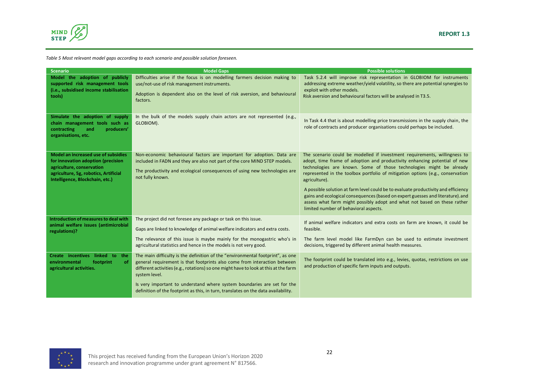*Table 5 Most relevant model gaps according to each scenario and possible solution foreseen.*

| <b>Scenario</b>                                                                                                              | <b>Model Gaps</b>                                                                                                                                                                                                                                                    | <b>Possible solutions</b>                                                                                                                                                                                                                                                                  |  |  |  |  |
|------------------------------------------------------------------------------------------------------------------------------|----------------------------------------------------------------------------------------------------------------------------------------------------------------------------------------------------------------------------------------------------------------------|--------------------------------------------------------------------------------------------------------------------------------------------------------------------------------------------------------------------------------------------------------------------------------------------|--|--|--|--|
| Model the adoption of publicly<br>supported risk management tools<br>(i.e., subsidised income stabilisation                  | Difficulties arise if the focus is on modelling farmers decision making to<br>use/not-use of risk management instruments.                                                                                                                                            | Task 5.2.4 will improve risk representation in GLOBIOM for instruments<br>addressing extreme weather/yield volatility, so there are potential synergies to<br>exploit with other models.                                                                                                   |  |  |  |  |
| tools)                                                                                                                       | Adoption is dependent also on the level of risk aversion, and behavioural<br>factors.                                                                                                                                                                                | Risk aversion and behavioural factors will be analysed in T3.5.                                                                                                                                                                                                                            |  |  |  |  |
| Simulate the adoption of supply<br>chain management tools such as<br>producers'<br>contracting<br>and<br>organisations, etc. | In the bulk of the models supply chain actors are not represented (e.g.,<br>GLOBIOM).                                                                                                                                                                                | In Task 4.4 that is about modelling price transmissions in the supply chain, the<br>role of contracts and producer organisations could perhaps be included.                                                                                                                                |  |  |  |  |
| Model an increased use of subsidies<br>for innovation adoption (precision<br>agriculture, conservation                       | Non-economic behavioural factors are important for adoption. Data are<br>included in FADN and they are also not part of the core MIND STEP models.                                                                                                                   | The scenario could be modelled if investment requirements, willingness to<br>adopt, time frame of adoption and productivity enhancing potential of new<br>technologies are known. Some of those technologies might be already                                                              |  |  |  |  |
| agriculture, 5g, robotics, Artificial<br>Intelligence, Blockchain, etc.)                                                     | The productivity and ecological consequences of using new technologies are<br>not fully known.                                                                                                                                                                       | represented in the toolbox portfolio of mitigation options (e.g., conservation<br>agriculture).                                                                                                                                                                                            |  |  |  |  |
|                                                                                                                              |                                                                                                                                                                                                                                                                      | A possible solution at farm level could be to evaluate productivity and efficiency<br>gains and ecological consequences (based on expert guesses and literature). and<br>assess what farm might possibly adopt and what not based on these rather<br>limited number of behavioral aspects. |  |  |  |  |
| Introduction of measures to deal with                                                                                        | The project did not foresee any package or task on this issue.                                                                                                                                                                                                       | If animal welfare indicators and extra costs on farm are known, it could be                                                                                                                                                                                                                |  |  |  |  |
| animal welfare issues (antimicrobial<br>regulations)?                                                                        | Gaps are linked to knowledge of animal welfare indicators and extra costs.                                                                                                                                                                                           | feasible.                                                                                                                                                                                                                                                                                  |  |  |  |  |
|                                                                                                                              | The relevance of this issue is maybe mainly for the monogastric who's in<br>agricultural statistics and hence in the models is not very good.                                                                                                                        | The farm level model like FarmDyn can be used to estimate investment<br>decisions, triggered by different animal health measures.                                                                                                                                                          |  |  |  |  |
| Create incentives<br>linked to<br>the<br>environmental<br>footprint<br><sub>of</sub><br>agricultural activities.             | The main difficulty is the definition of the "environmental footprint", as one<br>general requirement is that footprints also come from interaction between<br>different activities (e.g., rotations) so one might have to look at this at the farm<br>system level. | The footprint could be translated into e.g., levies, quotas, restrictions on use<br>and production of specific farm inputs and outputs.                                                                                                                                                    |  |  |  |  |
|                                                                                                                              | Is very important to understand where system boundaries are set for the<br>definition of the footprint as this, in turn, translates on the data availability.                                                                                                        |                                                                                                                                                                                                                                                                                            |  |  |  |  |

<span id="page-23-0"></span>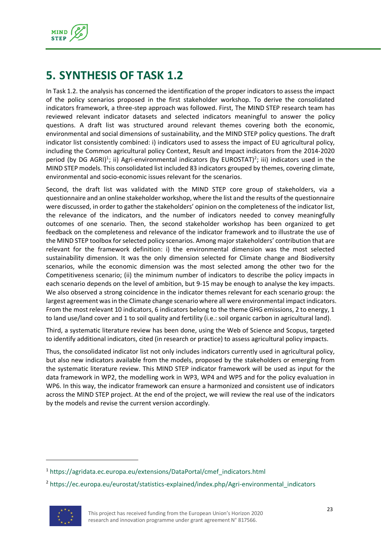

## <span id="page-24-0"></span>**5. SYNTHESIS OF TASK 1.2**

In Task 1.2. the analysis has concerned the identification of the proper indicators to assess the impact of the policy scenarios proposed in the first stakeholder workshop. To derive the consolidated indicators framework, a three-step approach was followed. First, The MIND STEP research team has reviewed relevant indicator datasets and selected indicators meaningful to answer the policy questions. A draft list was structured around relevant themes covering both the economic, environmental and social dimensions of sustainability, and the MIND STEP policy questions. The draft indicator list consistently combined: i) indicators used to assess the impact of EU agricultural policy, including the Common agricultural policy Context, Result and Impact indicators from the 2014-2020 period (by DG AGRI)<sup>1</sup>; ii) Agri-environmental indicators (by EUROSTAT)<sup>2</sup>; iii) indicators used in the MIND STEP models. This consolidated list included 83 indicators grouped by themes, covering climate, environmental and socio-economic issues relevant for the scenarios.

Second, the draft list was validated with the MIND STEP core group of stakeholders, via a questionnaire and an online stakeholder workshop, where the list and the results of the questionnaire were discussed, in order to gather the stakeholders' opinion on the completeness of the indicator list, the relevance of the indicators, and the number of indicators needed to convey meaningfully outcomes of one scenario. Then, the second stakeholder workshop has been organized to get feedback on the completeness and relevance of the indicator framework and to illustrate the use of the MIND STEP toolbox for selected policy scenarios. Among major stakeholders' contribution that are relevant for the framework definition: i) the environmental dimension was the most selected sustainability dimension. It was the only dimension selected for Climate change and Biodiversity scenarios, while the economic dimension was the most selected among the other two for the Competitiveness scenario; (ii) the minimum number of indicators to describe the policy impacts in each scenario depends on the level of ambition, but 9-15 may be enough to analyse the key impacts. We also observed a strong coincidence in the indicator themes relevant for each scenario group: the largest agreement was in the Climate change scenario where all were environmental impact indicators. From the most relevant 10 indicators, 6 indicators belong to the theme GHG emissions, 2 to energy, 1 to land use/land cover and 1 to soil quality and fertility (i.e.: soil organic carbon in agricultural land).

Third, a systematic literature review has been done, using the Web of Science and Scopus, targeted to identify additional indicators, cited (in research or practice) to assess agricultural policy impacts.

Thus, the consolidated indicator list not only includes indicators currently used in agricultural policy, but also new indicators available from the models, proposed by the stakeholders or emerging from the systematic literature review. This MIND STEP indicator framework will be used as input for the data framework in WP2, the modelling work in WP3, WP4 and WP5 and for the policy evaluation in WP6. In this way, the indicator framework can ensure a harmonized and consistent use of indicators across the MIND STEP project. At the end of the project, we will review the real use of the indicators by the models and revise the current version accordingly.

<sup>&</sup>lt;sup>2</sup> [https://ec.europa.eu/eurostat/statistics-explained/index.php/Agri-environmental\\_indicators](https://ec.europa.eu/eurostat/statistics-explained/index.php/Agri-environmental_indicators)



<sup>1</sup> [https://agridata.ec.europa.eu/extensions/DataPortal/cmef\\_indicators.html](https://agridata.ec.europa.eu/extensions/DataPortal/cmef_indicators.html)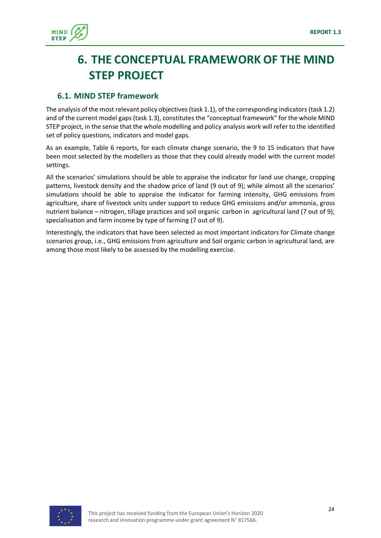<span id="page-25-0"></span>

## **6. THE CONCEPTUAL FRAMEWORK OF THE MIND STEP PROJECT**

### <span id="page-25-1"></span>**6.1. MIND STEP framework**

The analysis of the most relevant policy objectives(task 1.1), of the corresponding indicators (task 1.2) and of the current model gaps (task 1.3), constitutes the "conceptual framework" for the whole MIND STEP project, in the sense that the whole modelling and policy analysis work will refer to the identified set of policy questions, indicators and model gaps.

As an example, Table 6 reports, for each climate change scenario, the 9 to 15 indicators that have been most selected by the modellers as those that they could already model with the current model settings.

All the scenarios' simulations should be able to appraise the indicator for land use change, cropping patterns, livestock density and the shadow price of land (9 out of 9); while almost all the scenarios' simulations should be able to appraise the indicator for farming intensity, GHG emissions from agriculture, share of livestock units under support to reduce GHG emissions and/or ammonia, gross nutrient balance – nitrogen, tillage practices and soil organic carbon in agricultural land (7 out of 9); specialisation and farm income by type of farming (7 out of 9).

Interestingly, the indicators that have been selected as most important indicators for Climate change scenarios group, i.e., GHG emissions from agriculture and Soil organic carbon in agricultural land, are among those most likely to be assessed by the modelling exercise.

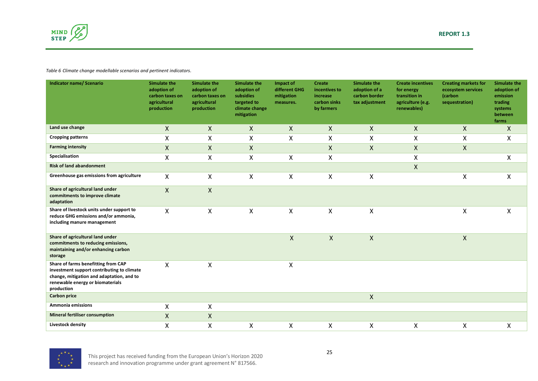

#### *Table 6 Climate change modellable scenarios and pertinent indicators.*

| <b>Indicator name/ Scenario</b>                                                                                                                                                  | <b>Simulate the</b><br>adoption of<br>carbon taxes on<br>agricultural<br>production | <b>Simulate the</b><br>adoption of<br>carbon taxes on<br>agricultural<br>production | <b>Simulate the</b><br>adoption of<br>subsidies<br>targeted to<br>climate change<br>mitigation | Impact of<br>different GHG<br>mitigation<br>measures. | <b>Create</b><br>incentives to<br>increase<br>carbon sinks<br>by farmers | <b>Simulate the</b><br>adoption of a<br>carbon border<br>tax adjustment | <b>Create incentives</b><br>for energy<br>transition in<br>agriculture (e.g.<br>renewables) | <b>Creating markets for</b><br>ecosystem services<br>(carbon<br>sequestration) | <b>Simulate the</b><br>adoption of<br>emission<br>trading<br>systems<br>between<br>farms |
|----------------------------------------------------------------------------------------------------------------------------------------------------------------------------------|-------------------------------------------------------------------------------------|-------------------------------------------------------------------------------------|------------------------------------------------------------------------------------------------|-------------------------------------------------------|--------------------------------------------------------------------------|-------------------------------------------------------------------------|---------------------------------------------------------------------------------------------|--------------------------------------------------------------------------------|------------------------------------------------------------------------------------------|
| Land use change                                                                                                                                                                  | $\pmb{\mathsf{X}}$                                                                  | $\pmb{\mathsf{X}}$                                                                  | $\mathsf X$                                                                                    | $\pmb{\times}$                                        | $\pmb{\mathsf{X}}$                                                       | $\mathsf{X}$                                                            | $\mathsf{X}$                                                                                | $\pmb{\mathsf{X}}$                                                             | $\boldsymbol{\mathsf{X}}$                                                                |
| <b>Cropping patterns</b>                                                                                                                                                         | Χ                                                                                   | $\mathsf{X}$                                                                        | X                                                                                              | $\mathsf{X}$                                          | $\pmb{\times}$                                                           | X                                                                       | X                                                                                           | X                                                                              | X                                                                                        |
| <b>Farming intensity</b>                                                                                                                                                         | X                                                                                   | $\mathsf{X}$                                                                        | $\mathsf{X}$                                                                                   |                                                       | X                                                                        | X                                                                       | $\mathsf{x}$                                                                                | $\mathsf{X}$                                                                   |                                                                                          |
| Specialisation                                                                                                                                                                   | X                                                                                   | X                                                                                   | X                                                                                              | X                                                     | X                                                                        |                                                                         | X                                                                                           |                                                                                | X                                                                                        |
| <b>Risk of land abandonment</b>                                                                                                                                                  |                                                                                     |                                                                                     |                                                                                                |                                                       |                                                                          |                                                                         | X                                                                                           |                                                                                |                                                                                          |
| Greenhouse gas emissions from agriculture                                                                                                                                        | X                                                                                   | $\boldsymbol{\mathsf{X}}$                                                           | X                                                                                              | X                                                     | X                                                                        | $\pmb{\times}$                                                          |                                                                                             | Χ                                                                              | X                                                                                        |
| Share of agricultural land under<br>commitments to improve climate<br>adaptation                                                                                                 | X                                                                                   | $\mathsf{X}$                                                                        |                                                                                                |                                                       |                                                                          |                                                                         |                                                                                             |                                                                                |                                                                                          |
| Share of livestock units under support to<br>reduce GHG emissions and/or ammonia,<br>including manure management                                                                 | X                                                                                   | Χ                                                                                   | X                                                                                              | $\pmb{\times}$                                        | X                                                                        | X                                                                       |                                                                                             | X                                                                              | X                                                                                        |
| Share of agricultural land under<br>commitments to reducing emissions,<br>maintaining and/or enhancing carbon<br>storage                                                         |                                                                                     |                                                                                     |                                                                                                | $\boldsymbol{\mathsf{X}}$                             | $\mathsf{X}$                                                             | $\mathsf{X}$                                                            |                                                                                             | $\boldsymbol{\mathsf{X}}$                                                      |                                                                                          |
| Share of farms benefitting from CAP<br>investment support contributing to climate<br>change, mitigation and adaptation, and to<br>renewable energy or biomaterials<br>production | X                                                                                   | Χ                                                                                   |                                                                                                | Χ                                                     |                                                                          |                                                                         |                                                                                             |                                                                                |                                                                                          |
| <b>Carbon price</b>                                                                                                                                                              |                                                                                     |                                                                                     |                                                                                                |                                                       |                                                                          | $\mathsf{X}$                                                            |                                                                                             |                                                                                |                                                                                          |
| Ammonia emissions                                                                                                                                                                | Χ                                                                                   | X                                                                                   |                                                                                                |                                                       |                                                                          |                                                                         |                                                                                             |                                                                                |                                                                                          |
| <b>Mineral fertiliser consumption</b>                                                                                                                                            | X                                                                                   | $\mathsf{x}$                                                                        |                                                                                                |                                                       |                                                                          |                                                                         |                                                                                             |                                                                                |                                                                                          |
| <b>Livestock density</b>                                                                                                                                                         | Χ                                                                                   | Χ                                                                                   | Χ                                                                                              | X                                                     | X                                                                        | X                                                                       | X                                                                                           | X                                                                              | X                                                                                        |

<span id="page-26-0"></span>

**REPORT 1.3**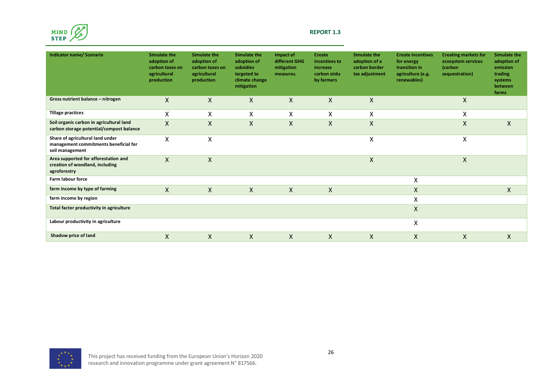

#### **REPORT 1.3**

| <b>Indicator name/Scenario</b>                                                               | <b>Simulate the</b><br>adoption of<br>carbon taxes on<br>agricultural<br>production | <b>Simulate the</b><br>adoption of<br>carbon taxes on<br>agricultural<br>production | <b>Simulate the</b><br>adoption of<br>subsidies<br>targeted to<br>climate change<br>mitigation | Impact of<br>different GHG<br>mitigation<br>measures. | Create<br>incentives to<br>increase<br>carbon sinks<br>by farmers | <b>Simulate the</b><br>adoption of a<br>carbon border<br>tax adjustment | <b>Create incentives</b><br>for energy<br>transition in<br>agriculture (e.g.<br>renewables) | <b>Creating markets for</b><br>ecosystem services<br>(carbon<br>sequestration) | <b>Simulate the</b><br>adoption of<br>emission<br>trading<br>systems<br>between<br>farms |
|----------------------------------------------------------------------------------------------|-------------------------------------------------------------------------------------|-------------------------------------------------------------------------------------|------------------------------------------------------------------------------------------------|-------------------------------------------------------|-------------------------------------------------------------------|-------------------------------------------------------------------------|---------------------------------------------------------------------------------------------|--------------------------------------------------------------------------------|------------------------------------------------------------------------------------------|
| Gross nutrient balance - nitrogen                                                            | $\pmb{\mathsf{X}}$                                                                  | $\pmb{\mathsf{X}}$                                                                  | $\mathsf{X}$                                                                                   | $\pmb{\mathsf{X}}$                                    | $\pmb{\mathsf{X}}$                                                | $\pmb{\mathsf{X}}$                                                      |                                                                                             | Χ                                                                              |                                                                                          |
| <b>Tillage practices</b>                                                                     | X                                                                                   | X                                                                                   | Χ                                                                                              | Χ                                                     | X                                                                 | X                                                                       |                                                                                             | Χ                                                                              |                                                                                          |
| Soil organic carbon in agricultural land<br>carbon storage potential/compost balance         | $\boldsymbol{\mathsf{X}}$                                                           | X                                                                                   | X                                                                                              | X                                                     | $\pmb{\mathsf{X}}$                                                | $\boldsymbol{\mathsf{X}}$                                               |                                                                                             | X                                                                              | X                                                                                        |
| Share of agricultural land under<br>management commitments beneficial for<br>soil management | X                                                                                   | X                                                                                   |                                                                                                |                                                       |                                                                   | X                                                                       |                                                                                             | Χ                                                                              |                                                                                          |
| Area supported for afforestation and<br>creation of woodland, including<br>agroforestry      | $\mathsf{X}$                                                                        | X                                                                                   |                                                                                                |                                                       |                                                                   | $\pmb{\mathsf{X}}$                                                      |                                                                                             | X                                                                              |                                                                                          |
| <b>Farm labour force</b>                                                                     |                                                                                     |                                                                                     |                                                                                                |                                                       |                                                                   |                                                                         | Χ                                                                                           |                                                                                |                                                                                          |
| farm income by type of farming                                                               | X                                                                                   | X                                                                                   | $\mathsf{X}$                                                                                   | X                                                     | X                                                                 |                                                                         | $\pmb{\mathsf{X}}$                                                                          |                                                                                | X                                                                                        |
| farm income by region                                                                        |                                                                                     |                                                                                     |                                                                                                |                                                       |                                                                   |                                                                         | Χ                                                                                           |                                                                                |                                                                                          |
| Total factor productivity in agriculture                                                     |                                                                                     |                                                                                     |                                                                                                |                                                       |                                                                   |                                                                         | $\pmb{\mathsf{X}}$                                                                          |                                                                                |                                                                                          |
| Labour productivity in agriculture                                                           |                                                                                     |                                                                                     |                                                                                                |                                                       |                                                                   |                                                                         | Χ                                                                                           |                                                                                |                                                                                          |
| Shadow price of land                                                                         | Χ                                                                                   | $\pmb{\mathsf{X}}$                                                                  | $\pmb{\mathsf{X}}$                                                                             | X                                                     | $\pmb{\mathsf{X}}$                                                | $\pmb{\mathsf{X}}$                                                      | $\pmb{\mathsf{X}}$                                                                          | X                                                                              | Χ                                                                                        |

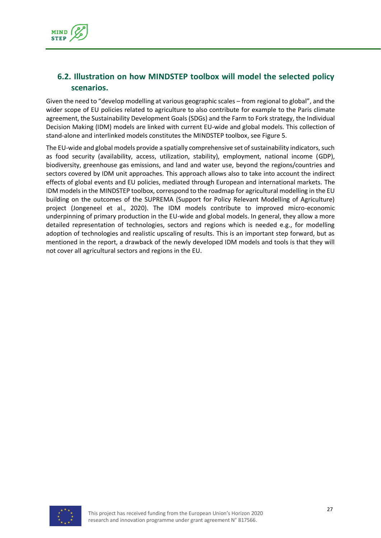

### <span id="page-28-0"></span>**6.2. Illustration on how MINDSTEP toolbox will model the selected policy scenarios.**

Given the need to "develop modelling at various geographic scales – from regional to global", and the wider scope of EU policies related to agriculture to also contribute for example to the Paris climate agreement, the Sustainability Development Goals (SDGs) and the Farm to Fork strategy, the Individual Decision Making (IDM) models are linked with current EU-wide and global models. This collection of stand-alone and interlinked models constitutes the MINDSTEP toolbox, see Figure 5.

The EU-wide and global models provide a spatially comprehensive set of sustainability indicators, such as food security (availability, access, utilization, stability), employment, national income (GDP), biodiversity, greenhouse gas emissions, and land and water use, beyond the regions/countries and sectors covered by IDM unit approaches. This approach allows also to take into account the indirect effects of global events and EU policies, mediated through European and international markets. The IDM models in the MINDSTEP toolbox, correspond to the roadmap for agricultural modelling in the EU building on the outcomes of the SUPREMA (Support for Policy Relevant Modelling of Agriculture) project (Jongeneel et al., 2020). The IDM models contribute to improved micro-economic underpinning of primary production in the EU-wide and global models. In general, they allow a more detailed representation of technologies, sectors and regions which is needed e.g., for modelling adoption of technologies and realistic upscaling of results. This is an important step forward, but as mentioned in the report, a drawback of the newly developed IDM models and tools is that they will not cover all agricultural sectors and regions in the EU.

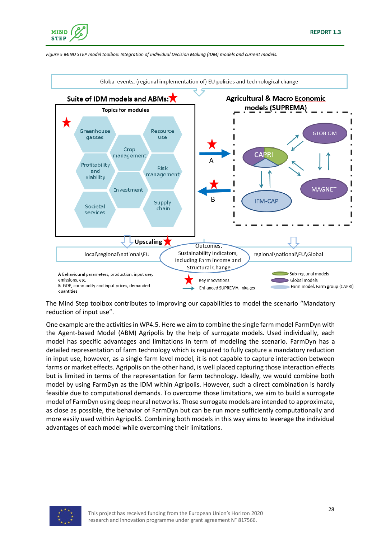

<span id="page-29-0"></span>*Figure 5 MIND STEP model toolbox: Integration of Individual Decision Making (IDM) models and current models.* 



The Mind Step toolbox contributes to improving our capabilities to model the scenario "Mandatory reduction of input use".

One example are the activities in WP4.5. Here we aim to combine the single farm model FarmDyn with the Agent-based Model (ABM) Agripolis by the help of surrogate models. Used individually, each model has specific advantages and limitations in term of modeling the scenario. FarmDyn has a detailed representation of farm technology which is required to fully capture a mandatory reduction in input use, however, as a single farm level model, it is not capable to capture interaction between farms or market effects. Agripolis on the other hand, is well placed capturing those interaction effects but is limited in terms of the representation for farm technology. Ideally, we would combine both model by using FarmDyn as the IDM within Agripolis. However, such a direct combination is hardly feasible due to computational demands. To overcome those limitations, we aim to build a surrogate model of FarmDyn using deep neural networks. Those surrogate models are intended to approximate, as close as possible, the behavior of FarmDyn but can be run more sufficiently computationally and more easily used within AgripoliS. Combining both models in this way aims to leverage the individual advantages of each model while overcoming their limitations.

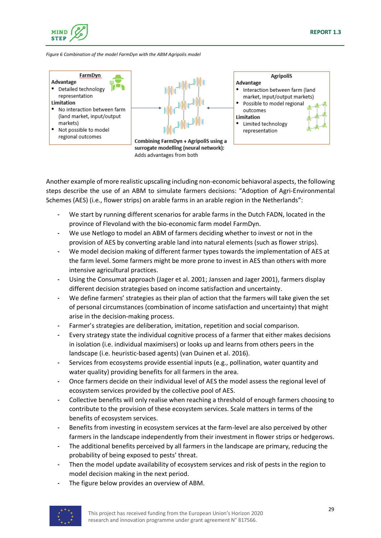

<span id="page-30-0"></span>*Figure 6 Combination of the model FarmDyn with the ABM Agripolis model*



Another example of more realistic upscaling including non-economic behiavoral aspects, the following steps describe the use of an ABM to simulate farmers decisions: "Adoption of Agri-Environmental Schemes (AES) (i.e., flower strips) on arable farms in an arable region in the Netherlands":

- We start by running different scenarios for arable farms in the Dutch FADN, located in the province of Flevoland with the bio-economic farm model FarmDyn.
- We use Netlogo to model an ABM of farmers deciding whether to invest or not in the provision of AES by converting arable land into natural elements (such as flower strips).
- We model decision making of different farmer types towards the implementation of AES at the farm level. Some farmers might be more prone to invest in AES than others with more intensive agricultural practices.
- Using the Consumat approach (Jager et al. 2001; Janssen and Jager 2001), farmers display different decision strategies based on income satisfaction and uncertainty.
- We define farmers' strategies as their plan of action that the farmers will take given the set of personal circumstances (combination of income satisfaction and uncertainty) that might arise in the decision-making process.
- Farmer's strategies are deliberation, imitation, repetition and social comparison.
- Every strategy state the individual cognitive process of a farmer that either makes decisions in isolation (i.e. individual maximisers) or looks up and learns from others peers in the landscape (i.e. heuristic-based agents) (van Duinen et al. 2016).
- Services from ecosystems provide essential inputs (e.g., pollination, water quantity and water quality) providing benefits for all farmers in the area.
- Once farmers decide on their individual level of AES the model assess the regional level of ecosystem services provided by the collective pool of AES.
- Collective benefits will only realise when reaching a threshold of enough farmers choosing to contribute to the provision of these ecosystem services. Scale matters in terms of the benefits of ecosystem services.
- Benefits from investing in ecosystem services at the farm-level are also perceived by other farmers in the landscape independently from their investment in flower strips or hedgerows.
- The additional benefits perceived by all farmers in the landscape are primary, reducing the probability of being exposed to pests' threat.
- Then the model update availability of ecosystem services and risk of pests in the region to model decision making in the next period.
- The figure below provides an overview of ABM.

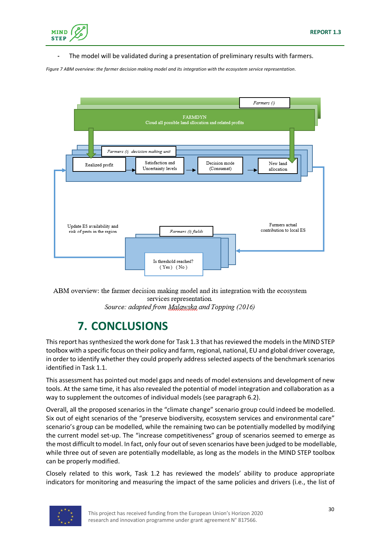

#### The model will be validated during a presentation of preliminary results with farmers.

<span id="page-31-1"></span>*Figure 7 ABM overview: the farmer decision making model and its integration with the ecosystem service representation.*



ABM overview: the farmer decision making model and its integration with the ecosystem services representation. Source: adapted from Malawska and Topping (2016)

### **7. CONCLUSIONS**

<span id="page-31-0"></span>This report has synthesized the work done for Task 1.3 that has reviewed the models in the MIND STEP toolbox with a specific focus on their policy and farm, regional, national, EU and global driver coverage, in order to identify whether they could properly address selected aspects of the benchmark scenarios identified in Task 1.1.

This assessment has pointed out model gaps and needs of model extensions and development of new tools. At the same time, it has also revealed the potential of model integration and collaboration as a way to supplement the outcomes of individual models (see paragraph 6.2).

Overall, all the proposed scenarios in the "climate change" scenario group could indeed be modelled. Six out of eight scenarios of the "preserve biodiversity, ecosystem services and environmental care" scenario's group can be modelled, while the remaining two can be potentially modelled by modifying the current model set-up. The "increase competitiveness" group of scenarios seemed to emerge as the most difficult to model. In fact, only four out of seven scenarios have been judged to be modellable, while three out of seven are potentially modellable, as long as the models in the MIND STEP toolbox can be properly modified.

Closely related to this work, Task 1.2 has reviewed the models' ability to produce appropriate indicators for monitoring and measuring the impact of the same policies and drivers (i.e., the list of

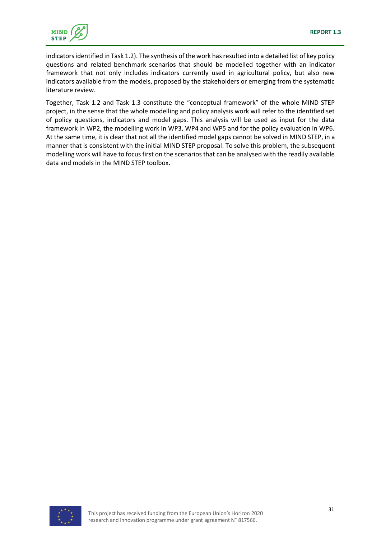

indicators identified in Task 1.2). The synthesis of the work has resulted into a detailed list of key policy questions and related benchmark scenarios that should be modelled together with an indicator framework that not only includes indicators currently used in agricultural policy, but also new indicators available from the models, proposed by the stakeholders or emerging from the systematic literature review.

Together, Task 1.2 and Task 1.3 constitute the "conceptual framework" of the whole MIND STEP project, in the sense that the whole modelling and policy analysis work will refer to the identified set of policy questions, indicators and model gaps. This analysis will be used as input for the data framework in WP2, the modelling work in WP3, WP4 and WP5 and for the policy evaluation in WP6. At the same time, it is clear that not all the identified model gaps cannot be solved in MIND STEP, in a manner that is consistent with the initial MIND STEP proposal. To solve this problem, the subsequent modelling work will have to focus first on the scenarios that can be analysed with the readily available data and models in the MIND STEP toolbox.

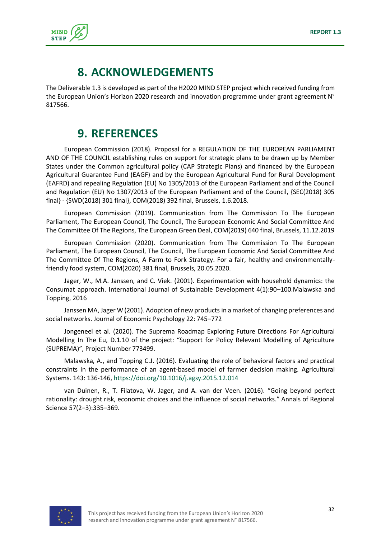

### **8. ACKNOWLEDGEMENTS**

<span id="page-33-0"></span>The Deliverable 1.3 is developed as part of the H2020 MIND STEP project which received funding from the European Union's Horizon 2020 research and innovation programme under grant agreement N° 817566.

### **9. REFERENCES**

<span id="page-33-1"></span>European Commission (2018). Proposal for a REGULATION OF THE EUROPEAN PARLIAMENT AND OF THE COUNCIL establishing rules on support for strategic plans to be drawn up by Member States under the Common agricultural policy (CAP Strategic Plans) and financed by the European Agricultural Guarantee Fund (EAGF) and by the European Agricultural Fund for Rural Development (EAFRD) and repealing Regulation (EU) No 1305/2013 of the European Parliament and of the Council and Regulation (EU) No 1307/2013 of the European Parliament and of the Council, {SEC(2018) 305 final} - {SWD(2018) 301 final}, COM(2018) 392 final, Brussels, 1.6.2018.

European Commission (2019). Communication from The Commission To The European Parliament, The European Council, The Council, The European Economic And Social Committee And The Committee Of The Regions, The European Green Deal, COM(2019) 640 final, Brussels, 11.12.2019

European Commission (2020). Communication from The Commission To The European Parliament, The European Council, The Council, The European Economic And Social Committee And The Committee Of The Regions, A Farm to Fork Strategy. For a fair, healthy and environmentallyfriendly food system, COM(2020) 381 final, Brussels, 20.05.2020.

Jager, W., M.A. Janssen, and C. Viek. (2001). Experimentation with household dynamics: the Consumat approach. International Journal of Sustainable Development 4(1):90–100.Malawska and Topping, 2016

Janssen MA, Jager W (2001). Adoption of new products in a market of changing preferences and social networks. Journal of Economic Psychology 22: 745–772

Jongeneel et al. (2020). The Suprema Roadmap Exploring Future Directions For Agricultural Modelling In The Eu, D.1.10 of the project: "Support for Policy Relevant Modelling of Agriculture (SUPREMA)", Project Number 773499.

Malawska, A., and Topping C.J. (2016). Evaluating the role of behavioral factors and practical constraints in the performance of an agent-based model of farmer decision making. Agricultural Systems. 143: 136-146, <https://doi.org/10.1016/j.agsy.2015.12.014>

van Duinen, R., T. Filatova, W. Jager, and A. van der Veen. (2016). "Going beyond perfect rationality: drought risk, economic choices and the influence of social networks." Annals of Regional Science 57(2–3):335–369.